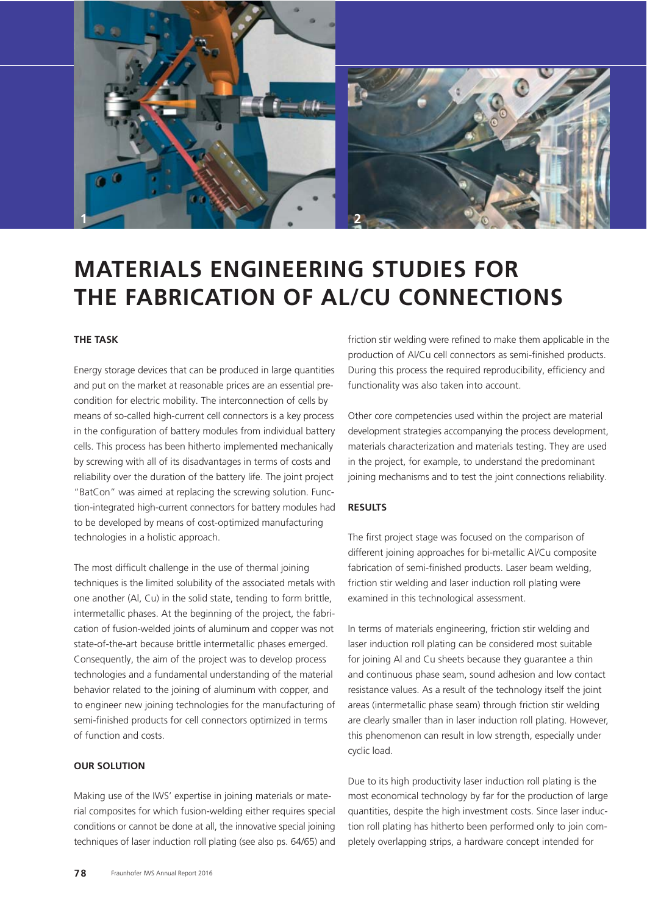

# **MATERIALS ENGINEERING STUDIES FOR THE FABRICATION OF AL/CU CONNECTIONS**

## **THE TASK**

Energy storage devices that can be produced in large quantities and put on the market at reasonable prices are an essential precondition for electric mobility. The interconnection of cells by means of so-called high-current cell connectors is a key process in the configuration of battery modules from individual battery cells. This process has been hitherto implemented mechanically by screwing with all of its disadvantages in terms of costs and reliability over the duration of the battery life. The joint project "BatCon" was aimed at replacing the screwing solution. Function-integrated high-current connectors for battery modules had to be developed by means of cost-optimized manufacturing technologies in a holistic approach.

The most difficult challenge in the use of thermal joining techniques is the limited solubility of the associated metals with one another (Al, Cu) in the solid state, tending to form brittle, intermetallic phases. At the beginning of the project, the fabrication of fusion-welded joints of aluminum and copper was not state-of-the-art because brittle intermetallic phases emerged. Consequently, the aim of the project was to develop process technologies and a fundamental understanding of the material behavior related to the joining of aluminum with copper, and to engineer new joining technologies for the manufacturing of semi-finished products for cell connectors optimized in terms of function and costs.

### **OUR SOLUTION**

Making use of the IWS' expertise in joining materials or material composites for which fusion-welding either requires special conditions or cannot be done at all, the innovative special joining techniques of laser induction roll plating (see also ps. 64/65) and friction stir welding were refined to make them applicable in the production of Al/Cu cell connectors as semi-finished products. During this process the required reproducibility, efficiency and functionality was also taken into account.

Other core competencies used within the project are material development strategies accompanying the process development, materials characterization and materials testing. They are used in the project, for example, to understand the predominant joining mechanisms and to test the joint connections reliability.

### **RESULTS**

The first project stage was focused on the comparison of different joining approaches for bi-metallic Al/Cu composite fabrication of semi-finished products. Laser beam welding, friction stir welding and laser induction roll plating were examined in this technological assessment.

In terms of materials engineering, friction stir welding and laser induction roll plating can be considered most suitable for joining Al and Cu sheets because they guarantee a thin and continuous phase seam, sound adhesion and low contact resistance values. As a result of the technology itself the joint areas (intermetallic phase seam) through friction stir welding are clearly smaller than in laser induction roll plating. However, this phenomenon can result in low strength, especially under cyclic load.

Due to its high productivity laser induction roll plating is the most economical technology by far for the production of large quantities, despite the high investment costs. Since laser induction roll plating has hitherto been performed only to join completely overlapping strips, a hardware concept intended for